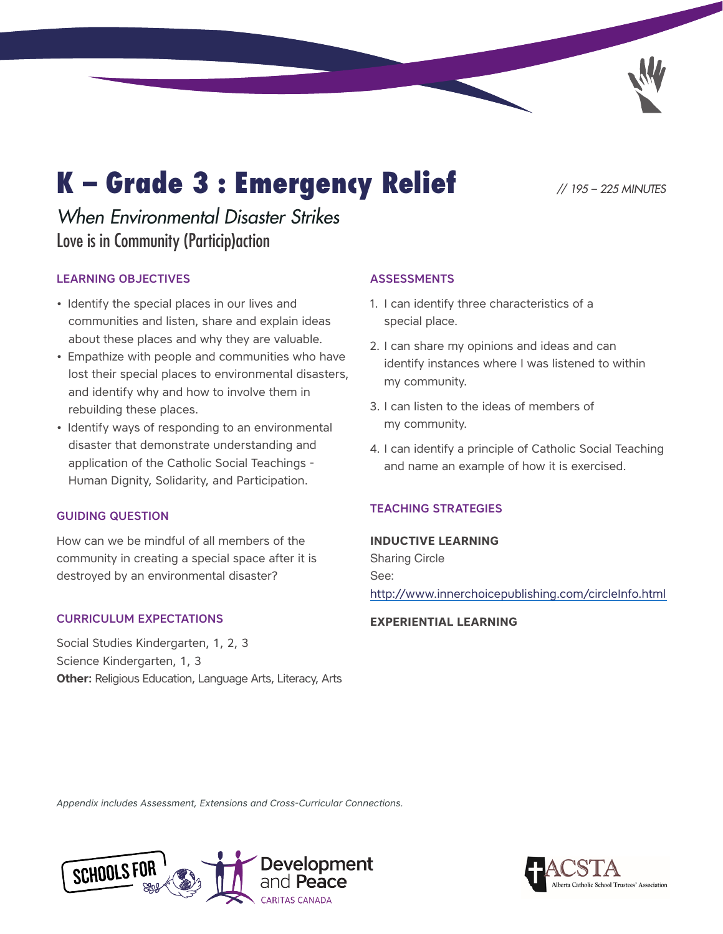# K – Grade 3 : Emergency Relief *// 195 – 225 MINUTES*

# *When Environmental Disaster Strikes*  Love is in Community (Particip)action

# LEARNING OBJECTIVES

- Identify the special places in our lives and communities and listen, share and explain ideas about these places and why they are valuable.
- Empathize with people and communities who have lost their special places to environmental disasters, and identify why and how to involve them in rebuilding these places.
- Identify ways of responding to an environmental disaster that demonstrate understanding and application of the Catholic Social Teachings - Human Dignity, Solidarity, and Participation.

## GUIDING QUESTION

How can we be mindful of all members of the community in creating a special space after it is destroyed by an environmental disaster?

## CURRICULUM EXPECTATIONS

Social Studies Kindergarten, 1, 2, 3 Science Kindergarten, 1, 3 **Other:** Religious Education, Language Arts, Literacy, Arts

# ASSESSMENTS

- 1. I can identify three characteristics of a special place.
- 2. I can share my opinions and ideas and can identify instances where I was listened to within my community.
- 3. I can listen to the ideas of members of my community.
- 4. I can identify a principle of Catholic Social Teaching and name an example of how it is exercised.

# TEACHING STRATEGIES

## **INDUCTIVE LEARNING**

Sharing Circle See: <http://www.innerchoicepublishing.com/circleInfo.html>

## **EXPERIENTIAL LEARNING**

*Appendix includes Assessment, [Extensions](#page-12-0) and [Cross-Curricular Connections](#page-14-0).*



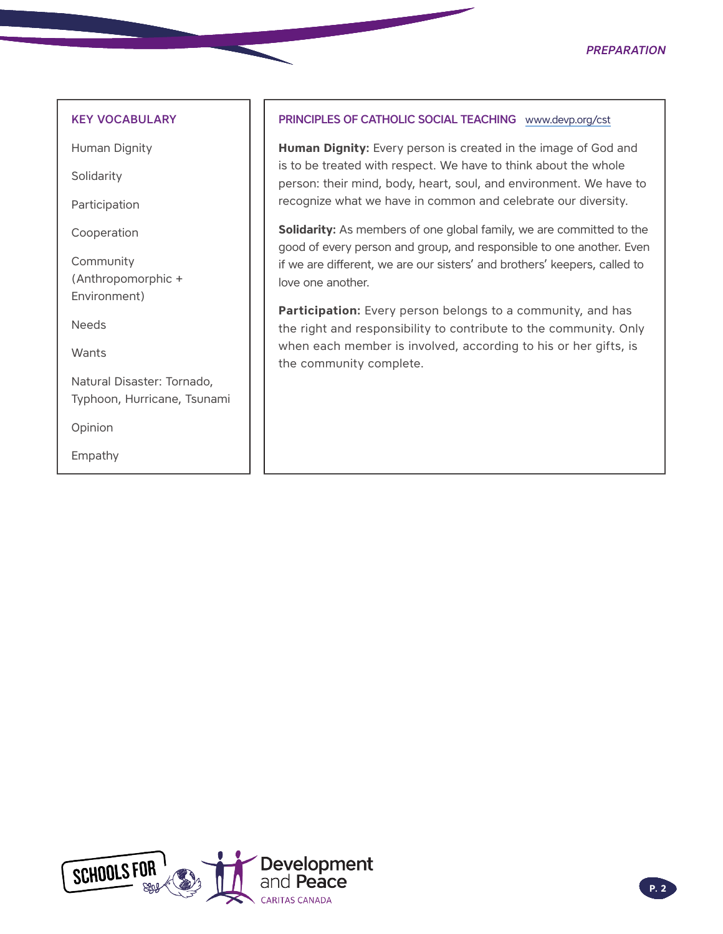### *Preparation*

### KEY VOCABULARY

Human Dignity

Solidarity

Participation

Cooperation

Community (Anthropomorphic + Environment)

Needs

**Wants** 

Natural Disaster: Tornado, Typhoon, Hurricane, Tsunami

Opinion

Empathy

## PRINCIPLES OF CATHOLIC SOCIAL TEACHING [www.devp.org/cst](http://www.devp.org/cst)

**Human Dignity:** Every person is created in the image of God and is to be treated with respect. We have to think about the whole person: their mind, body, heart, soul, and environment. We have to recognize what we have in common and celebrate our diversity.

**Solidarity:** As members of one global family, we are committed to the good of every person and group, and responsible to one another. Even if we are different, we are our sisters' and brothers' keepers, called to love one another.

**Participation:** Every person belongs to a community, and has the right and responsibility to contribute to the community. Only when each member is involved, according to his or her gifts, is the community complete.

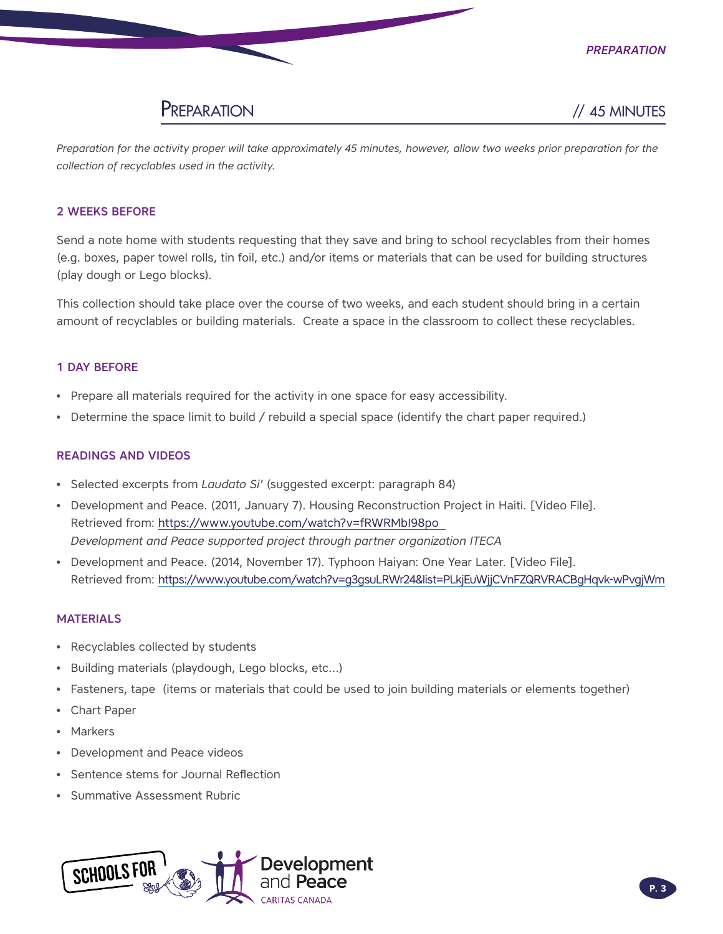



*Preparation for the activity proper will take approximately 45 minutes, however, allow two weeks prior preparation for the collection of recyclables used in the activity.*

### 2 WEEKS BEFORE

Send a note home with students requesting that they save and bring to school recyclables from their homes (e.g. boxes, paper towel rolls, tin foil, etc.) and/or items or materials that can be used for building structures (play dough or Lego blocks).

This collection should take place over the course of two weeks, and each student should bring in a certain amount of recyclables or building materials. Create a space in the classroom to collect these recyclables.

### 1 DAY BEFORE

- Prepare all materials required for the activity in one space for easy accessibility.
- Determine the space limit to build / rebuild a special space (identify the chart paper required.)

### READINGS AND VIDEOS

- Selected excerpts from *Laudato Si'* (suggested excerpt: paragraph 84)
- Development and Peace. (2011, January 7). Housing Reconstruction Project in Haiti. [Video File]. Retrieved from: https://www.youtube.com/watch?v=fRWRMbI98po *Development and Peace supported project through partner organization ITECA*
- Development and Peace. (2014, November 17). Typhoon Haiyan: One Year Later. [Video File]. Retrieved from: https://www.youtube.com/watch?v=g3gsuLRWr24&list=PLkjEuWjjCVnFZQRVRACBgHqvk-wPvgjWm

### **MATERIALS**

- Recyclables collected by students
- Building materials (playdough, Lego blocks, etc…)
- Fasteners, tape (items or materials that could be used to join building materials or elements together)
- Chart Paper
- **Markers**
- Development and Peace videos
- Sentence stems for Journal Reflection
- Summative Assessment Rubric

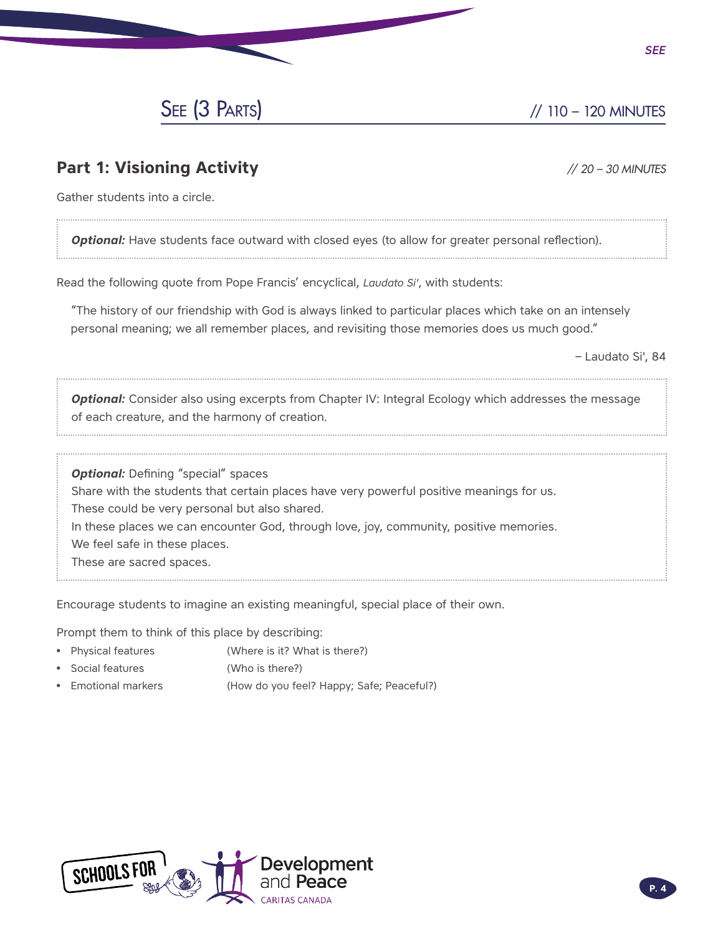

# **Part 1: Visioning Activity** *// 20 – 30 MINUTES*

*See*

Gather students into a circle.

**Optional:** Have students face outward with closed eyes (to allow for greater personal reflection).

Read the following quote from Pope Francis' encyclical, *Laudato Si'*, with students:

"The history of our friendship with God is always linked to particular places which take on an intensely personal meaning; we all remember places, and revisiting those memories does us much good."

– Laudato Si', 84

**Optional:** Consider also using excerpts from Chapter IV: Integral Ecology which addresses the message of each creature, and the harmony of creation.

**Optional:** Defining "special" spaces Share with the students that certain places have very powerful positive meanings for us. These could be very personal but also shared. In these places we can encounter God, through love, joy, community, positive memories. We feel safe in these places. These are sacred spaces.

Encourage students to imagine an existing meaningful, special place of their own.

Prompt them to think of this place by describing:

- Physical features (Where is it? What is there?)
- Social features (Who is there?)
- Emotional markers (How do you feel? Happy; Safe; Peaceful?)

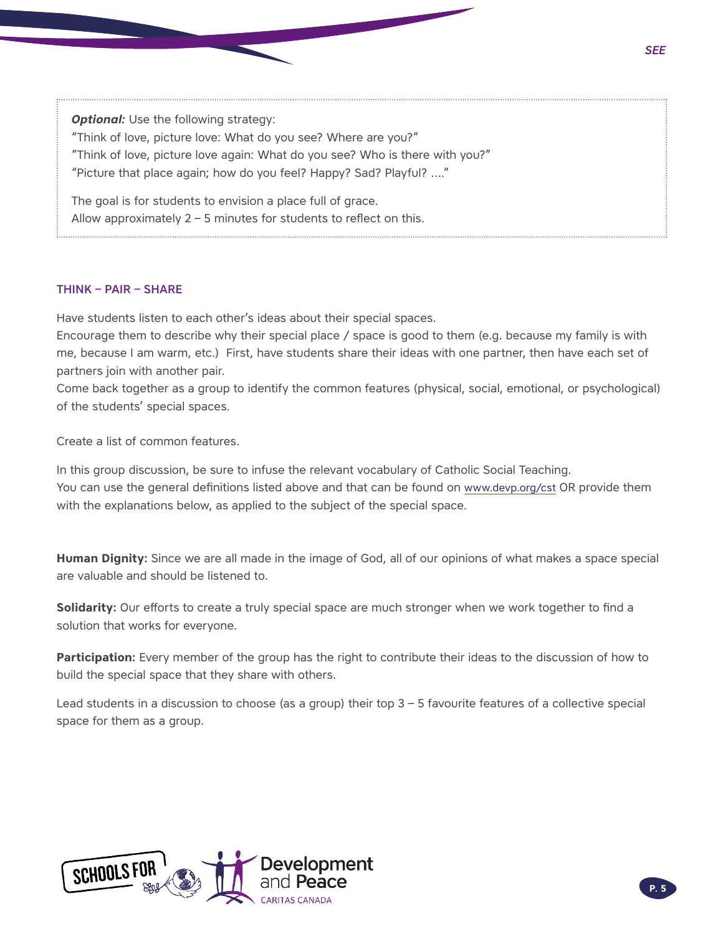**Optional:** Use the following strategy: "Think of love, picture love: What do you see? Where are you?" "Think of love, picture love again: What do you see? Who is there with you?" "Picture that place again; how do you feel? Happy? Sad? Playful? …." The goal is for students to envision a place full of grace.

Allow approximately  $2 - 5$  minutes for students to reflect on this.

### THINK – PAIR – SHARE

Have students listen to each other's ideas about their special spaces.

Encourage them to describe why their special place / space is good to them (e.g. because my family is with me, because I am warm, etc.) First, have students share their ideas with one partner, then have each set of partners join with another pair.

Come back together as a group to identify the common features (physical, social, emotional, or psychological) of the students' special spaces.

Create a list of common features.

In this group discussion, be sure to infuse the relevant vocabulary of Catholic Social Teaching. You can use the general definitions listed above and that can be found on [www.devp.org/cst](http://www.devp.org/cst) OR provide them with the explanations below, as applied to the subject of the special space.

**Human Dignity:** Since we are all made in the image of God, all of our opinions of what makes a space special are valuable and should be listened to.

**Solidarity:** Our efforts to create a truly special space are much stronger when we work together to find a solution that works for everyone.

**Participation:** Every member of the group has the right to contribute their ideas to the discussion of how to build the special space that they share with others.

Lead students in a discussion to choose (as a group) their top 3 – 5 favourite features of a collective special space for them as a group.



**P. 5** *P. 5*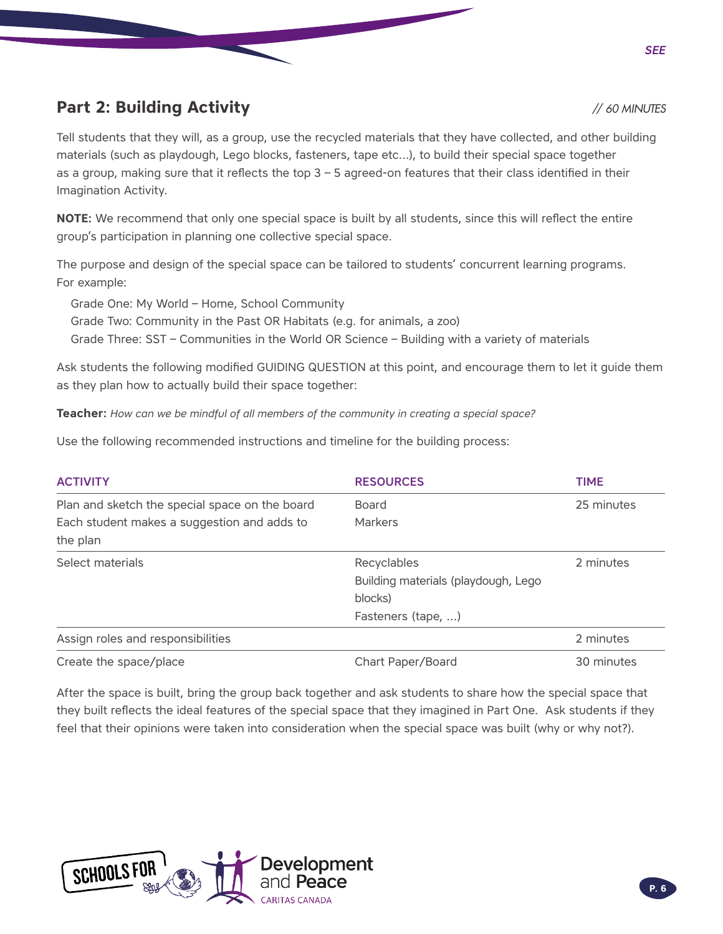#### *See*

# **Part 2: Building Activity** *// 60 MINUTES*

Tell students that they will, as a group, use the recycled materials that they have collected, and other building materials (such as playdough, Lego blocks, fasteners, tape etc…), to build their special space together as a group, making sure that it reflects the top 3 – 5 agreed-on features that their class identified in their Imagination Activity.

**NOTE:** We recommend that only one special space is built by all students, since this will reflect the entire group's participation in planning one collective special space.

The purpose and design of the special space can be tailored to students' concurrent learning programs. For example:

Grade One: My World – Home, School Community

Grade Two: Community in the Past OR Habitats (e.g. for animals, a zoo) Grade Three: SST – Communities in the World OR Science – Building with a variety of materials

Ask students the following modified GUIDING QUESTION at this point, and encourage them to let it guide them as they plan how to actually build their space together:

**Teacher:** *How can we be mindful of all members of the community in creating a special space?*

Use the following recommended instructions and timeline for the building process:

| <b>ACTIVITY</b>                                | <b>RESOURCES</b>                    | <b>TIME</b> |
|------------------------------------------------|-------------------------------------|-------------|
| Plan and sketch the special space on the board | Board                               | 25 minutes  |
| Each student makes a suggestion and adds to    | Markers                             |             |
| the plan                                       |                                     |             |
| Select materials                               | Recyclables                         | 2 minutes   |
|                                                | Building materials (playdough, Lego |             |
|                                                | blocks)                             |             |
|                                                | Fasteners (tape, )                  |             |
| Assign roles and responsibilities              |                                     | 2 minutes   |
| Create the space/place                         | Chart Paper/Board                   | 30 minutes  |

After the space is built, bring the group back together and ask students to share how the special space that they built reflects the ideal features of the special space that they imagined in Part One. Ask students if they feel that their opinions were taken into consideration when the special space was built (why or why not?).

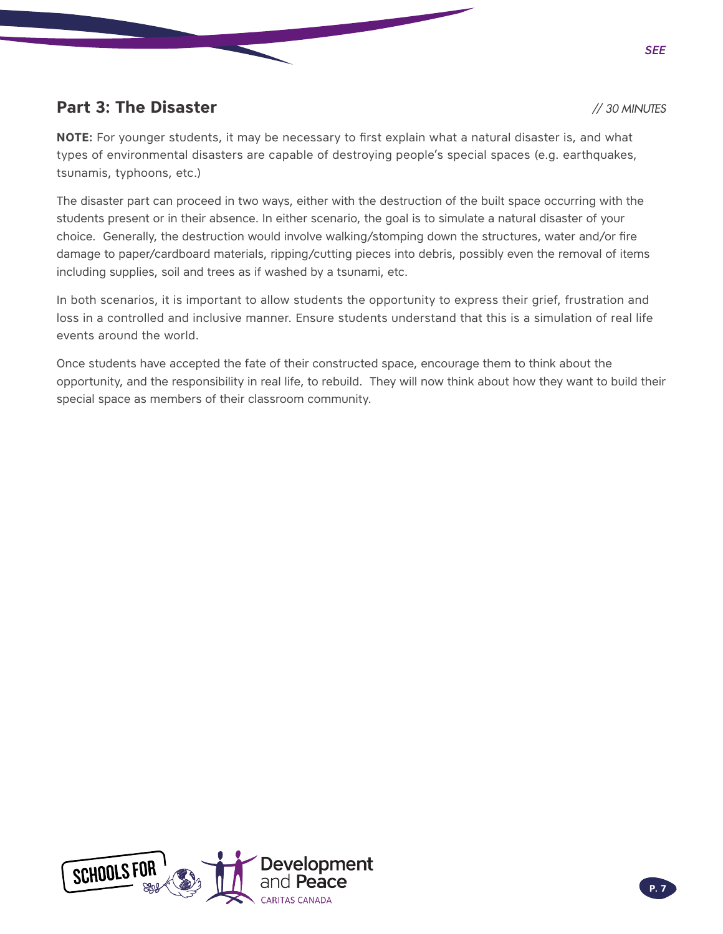# **Part 3: The Disaster** *// 30 MINUTES*

**NOTE:** For younger students, it may be necessary to first explain what a natural disaster is, and what types of environmental disasters are capable of destroying people's special spaces (e.g. earthquakes, tsunamis, typhoons, etc.)

The disaster part can proceed in two ways, either with the destruction of the built space occurring with the students present or in their absence. In either scenario, the goal is to simulate a natural disaster of your choice. Generally, the destruction would involve walking/stomping down the structures, water and/or fire damage to paper/cardboard materials, ripping/cutting pieces into debris, possibly even the removal of items including supplies, soil and trees as if washed by a tsunami, etc.

In both scenarios, it is important to allow students the opportunity to express their grief, frustration and loss in a controlled and inclusive manner. Ensure students understand that this is a simulation of real life events around the world.

Once students have accepted the fate of their constructed space, encourage them to think about the opportunity, and the responsibility in real life, to rebuild. They will now think about how they want to build their special space as members of their classroom community.



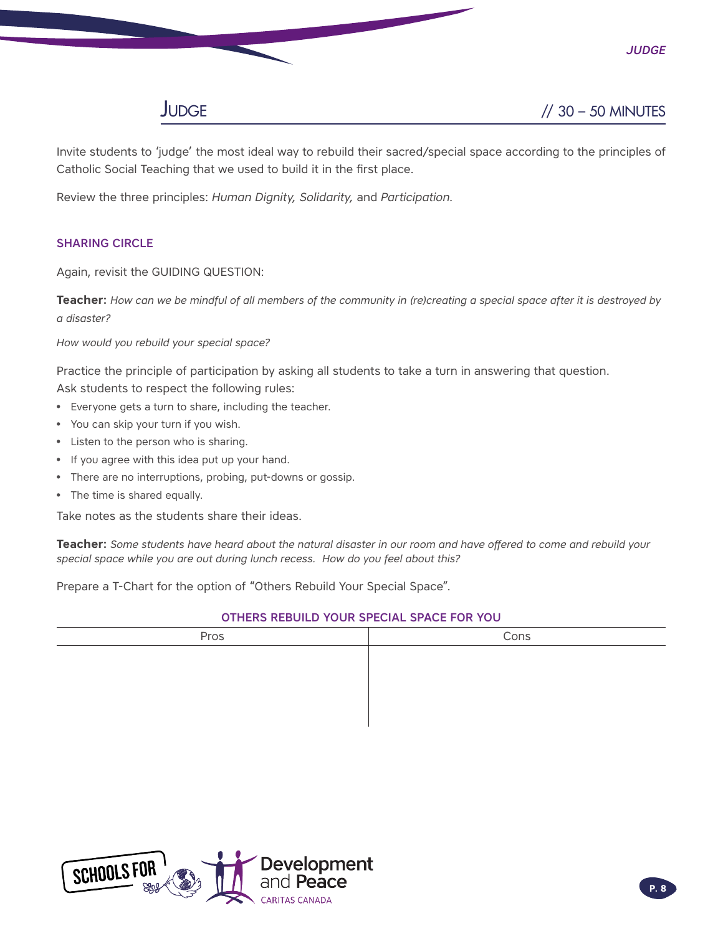

Invite students to 'judge' the most ideal way to rebuild their sacred/special space according to the principles of Catholic Social Teaching that we used to build it in the first place.

Review the three principles: *Human Dignity, Solidarity,* and *Participation*.

# SHARING CIRCLE

Again, revisit the GUIDING QUESTION:

**Teacher:** *How can we be mindful of all members of the community in (re)creating a special space after it is destroyed by a disaster?*

*How would you rebuild your special space?*

Practice the principle of participation by asking all students to take a turn in answering that question.

- Ask students to respect the following rules:
- Everyone gets a turn to share, including the teacher.
- You can skip your turn if you wish.
- Listen to the person who is sharing.
- If you agree with this idea put up your hand.
- There are no interruptions, probing, put-downs or gossip.
- The time is shared equally.

Take notes as the students share their ideas.

**Teacher:** *Some students have heard about the natural disaster in our room and have offered to come and rebuild your special space while you are out during lunch recess. How do you feel about this?* 

Prepare a T-Chart for the option of "Others Rebuild Your Special Space".

### OTHERS REBUILD YOUR SPECIAL SPACE FOR YOU

| Pros | Cons |
|------|------|
|      |      |
|      |      |
|      |      |
|      |      |
|      |      |



*Judge*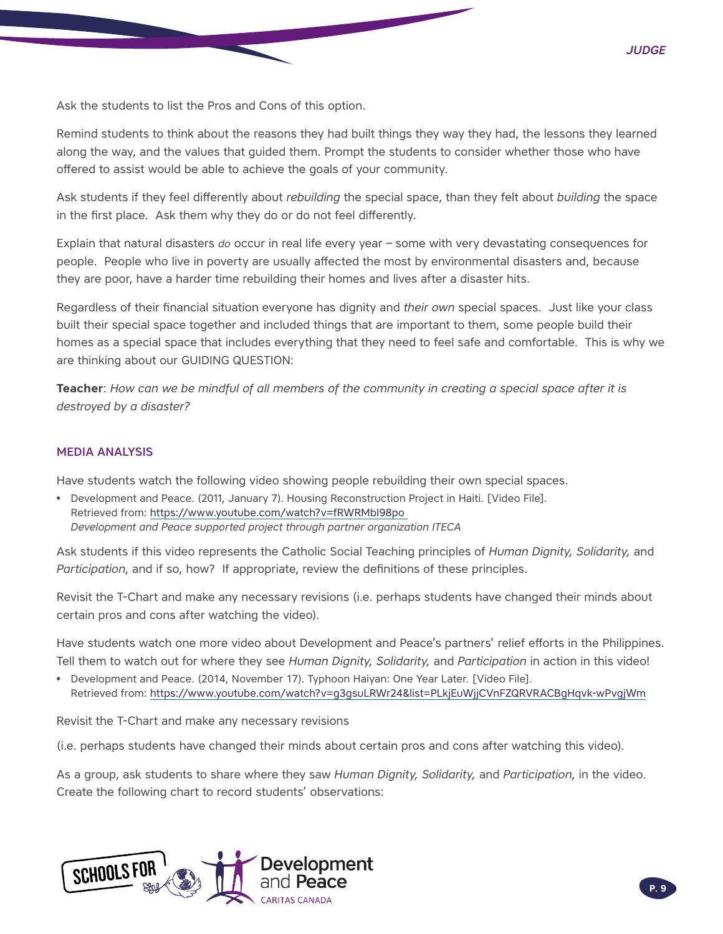Ask the students to list the Pros and Cons of this option.

Remind students to think about the reasons they had built things they way they had, the lessons they learned along the way, and the values that guided them. Prompt the students to consider whether those who have offered to assist would be able to achieve the goals of your community.

Ask students if they feel differently about *rebuilding* the special space, than they felt about *building* the space in the first place. Ask them why they do or do not feel differently.

Explain that natural disasters *do* occur in real life every year – some with very devastating consequences for people. People who live in poverty are usually affected the most by environmental disasters and, because they are poor, have a harder time rebuilding their homes and lives after a disaster hits.

Regardless of their financial situation everyone has dignity and *their own* special spaces. Just like your class built their special space together and included things that are important to them, some people build their homes as a special space that includes everything that they need to feel safe and comfortable. This is why we are thinking about our GUIDING QUESTION:

**Teacher**: *How can we be mindful of all members of the community in creating a special space after it is destroyed by a disaster?*

### MEDIA ANALYSIS

Have students watch the following video showing people rebuilding their own special spaces.

• Development and Peace. (2011, January 7). Housing Reconstruction Project in Haiti. [Video File]. Retrieved from: https://www.youtube.com/watch?v=fRWRMbI98po *Development and Peace supported project through partner organization ITECA* 

Ask students if this video represents the Catholic Social Teaching principles of *Human Dignity, Solidarity,* and *Participation*, and if so, how? If appropriate, review the definitions of these principles.

Revisit the T-Chart and make any necessary revisions (i.e. perhaps students have changed their minds about certain pros and cons after watching the video).

Have students watch one more video about Development and Peace's partners' relief efforts in the Philippines. Tell them to watch out for where they see *Human Dignity, Solidarity,* and *Participation* in action in this video!

• Development and Peace. (2014, November 17). Typhoon Haiyan: One Year Later. [Video File]. Retrieved from:<https://www.youtube.com/watch?v=g3gsuLRWr24&list=PLkjEuWjjCVnFZQRVRACBgHqvk-wPvgjWm>

Revisit the T-Chart and make any necessary revisions

(i.e. perhaps students have changed their minds about certain pros and cons after watching this video).

As a group, ask students to share where they saw *Human Dignity, Solidarity,* and *Participation*, in the video. Create the following chart to record students' observations:

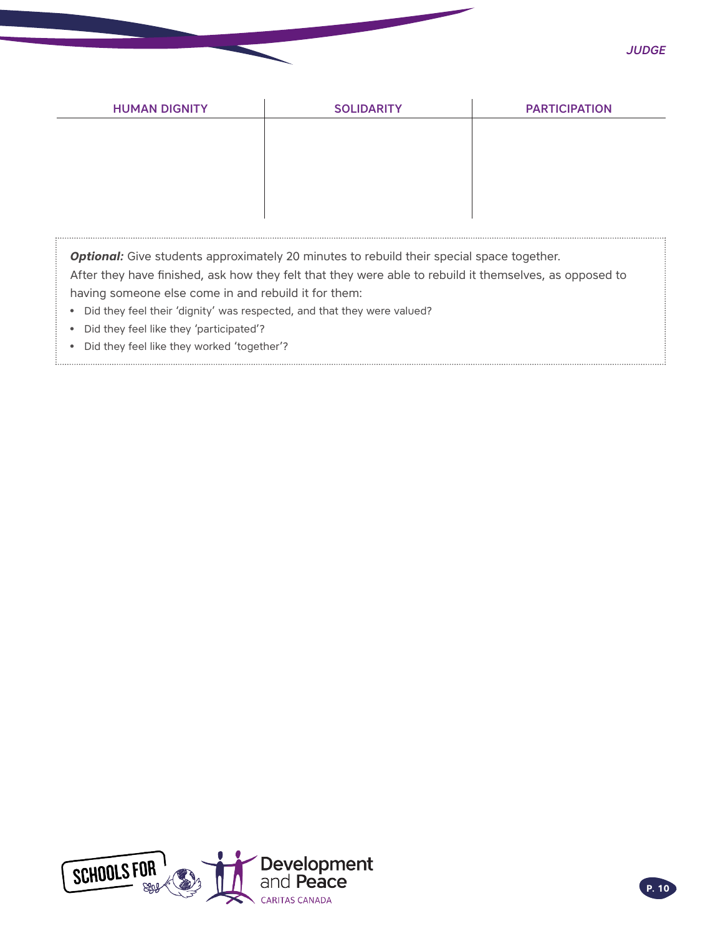| <b>SOLIDARITY</b> | <b>PARTICIPATION</b> |
|-------------------|----------------------|
|                   |                      |
|                   |                      |
|                   |                      |
|                   |                      |
|                   |                      |

**Optional:** Give students approximately 20 minutes to rebuild their special space together.

After they have finished, ask how they felt that they were able to rebuild it themselves, as opposed to having someone else come in and rebuild it for them:

- Did they feel their 'dignity' was respected, and that they were valued?
- Did they feel like they 'participated'?
- Did they feel like they worked 'together'?

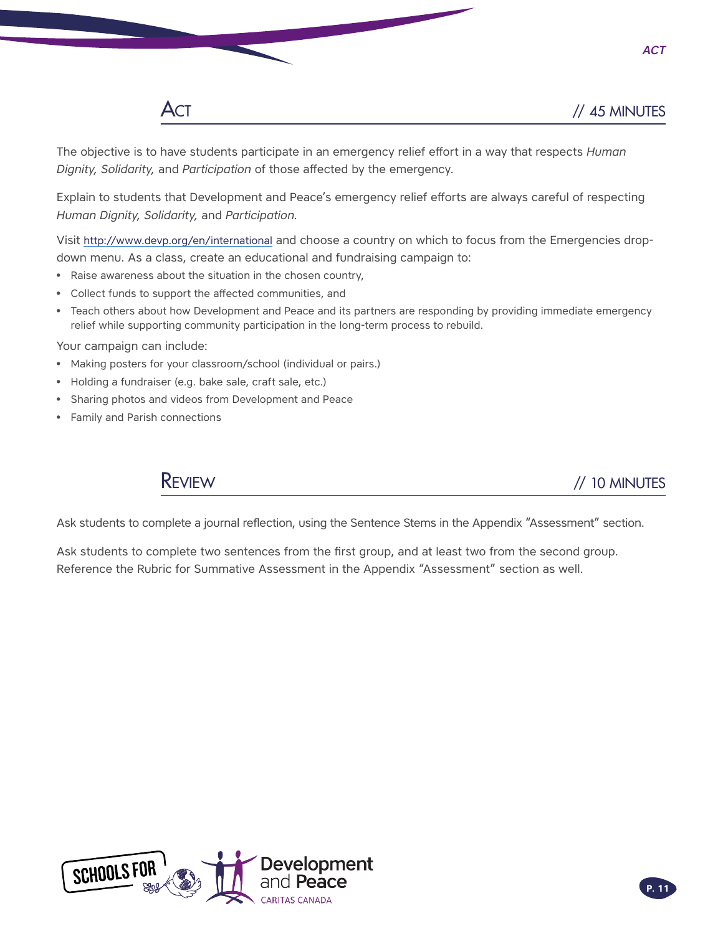

The objective is to have students participate in an emergency relief effort in a way that respects *Human Dignity, Solidarity,* and *Participation* of those affected by the emergency.

Explain to students that Development and Peace's emergency relief efforts are always careful of respecting *Human Dignity, Solidarity,* and *Participation.*

Visit <http://www.devp.org/en/international>and choose a country on which to focus from the Emergencies dropdown menu. As a class, create an educational and fundraising campaign to:

- Raise awareness about the situation in the chosen country,
- Collect funds to support the affected communities, and
- Teach others about how Development and Peace and its partners are responding by providing immediate emergency relief while supporting community participation in the long-term process to rebuild.

Your campaign can include:

- Making posters for your classroom/school (individual or pairs.)
- Holding a fundraiser (e.g. bake sale, craft sale, etc.)
- Sharing photos and videos from Development and Peace
- Family and Parish connections



Ask students to complete a journal reflection, using the Sentence Stems in the Appendix "Assessment" section.

Ask students to complete two sentences from the first group, and at least two from the second group. Reference the Rubric for Summative Assessment in the Appendix "Assessment" section as well.



*Act*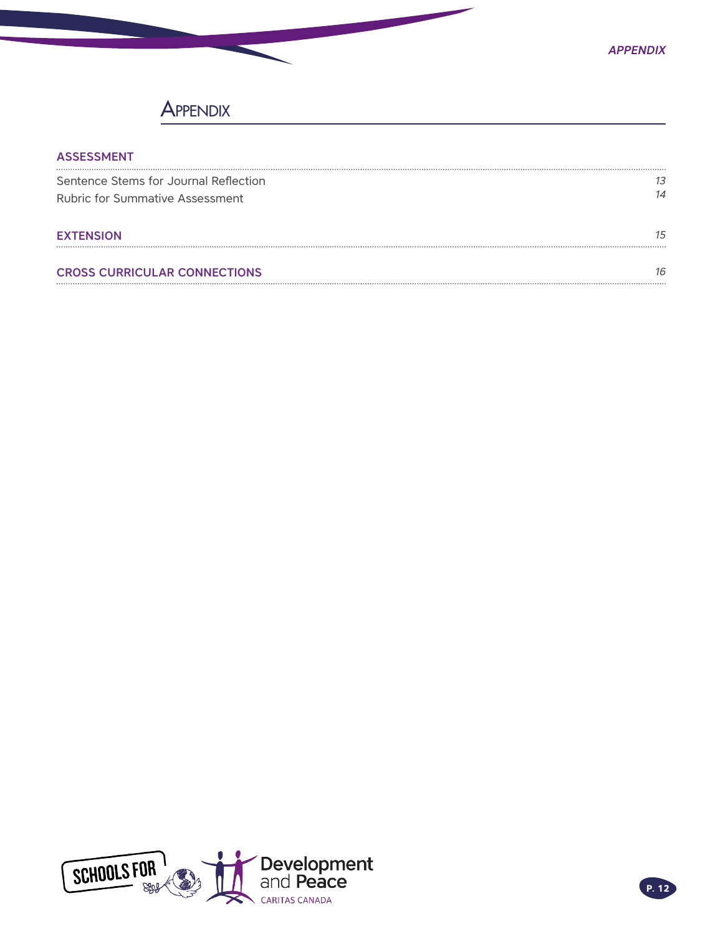# **APPENDIX**

| <b>ASSESSMENT</b>                      |    |
|----------------------------------------|----|
| Sentence Stems for Journal Reflection  | 13 |
| <b>Rubric for Summative Assessment</b> | 14 |
| <b>EXTENSION</b>                       | 15 |
| <b>CROSS CURRICULAR CONNECTIONS</b>    | 16 |

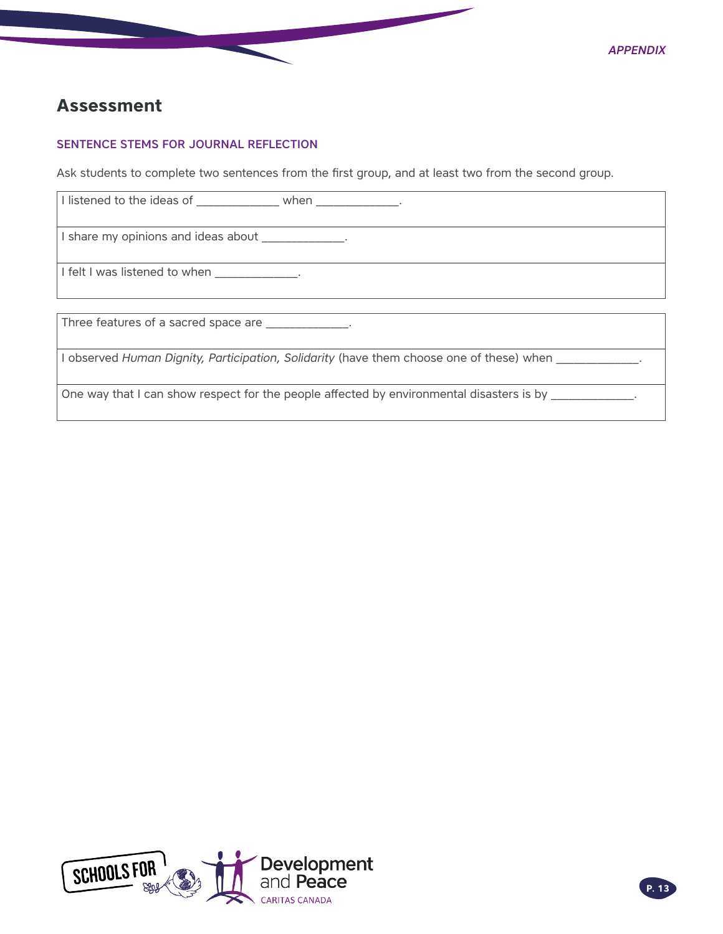

# <span id="page-12-0"></span>**Assessment**

# SENTENCE STEMS FOR JOURNAL REFLECTION

Ask students to complete two sentences from the first group, and at least two from the second group.

| I listened to the ideas of when when when                                                |
|------------------------------------------------------------------------------------------|
| I share my opinions and ideas about ____________.                                        |
| I felt I was listened to when _____________.                                             |
|                                                                                          |
| Three features of a sacred space are ____________.                                       |
| I observed Human Dignity, Participation, Solidarity (have them choose one of these) when |
| One way that I can show respect for the people affected by environmental disasters is by |

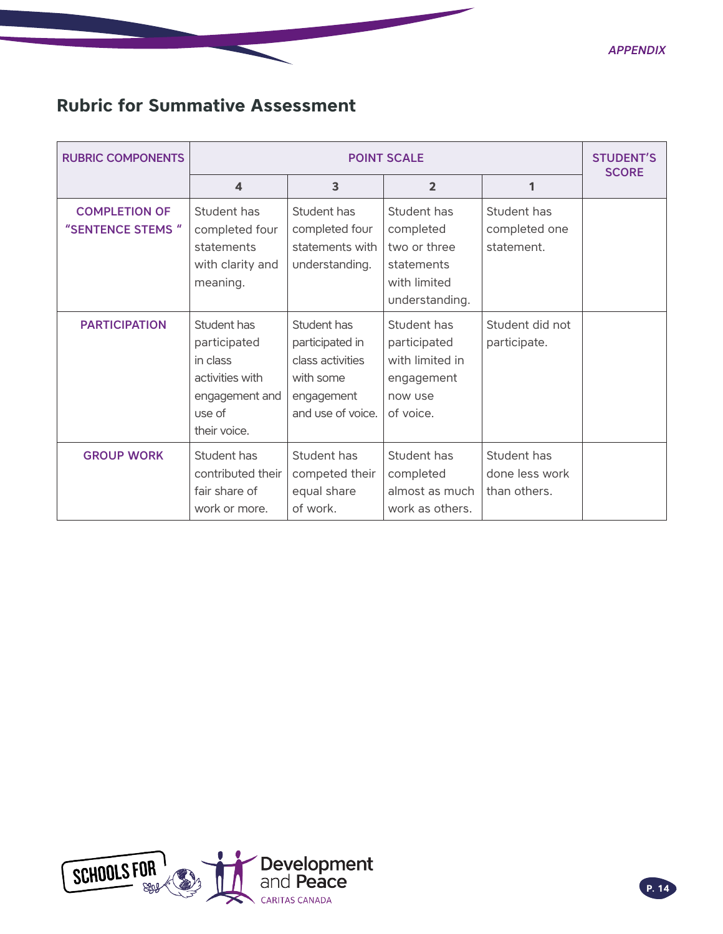*Appendix*

# <span id="page-13-0"></span>**Rubric for Summative Assessment**

| <b>RUBRIC COMPONENTS</b>                  | <b>POINT SCALE</b>                                                                                     |                                                                                                    |                                                                                          |                                               | <b>STUDENT'S</b><br><b>SCORE</b> |
|-------------------------------------------|--------------------------------------------------------------------------------------------------------|----------------------------------------------------------------------------------------------------|------------------------------------------------------------------------------------------|-----------------------------------------------|----------------------------------|
|                                           | $\overline{\mathbf{A}}$                                                                                | 3                                                                                                  | $\overline{2}$                                                                           | 1                                             |                                  |
| <b>COMPLETION OF</b><br>"SENTENCE STEMS " | Student has<br>completed four<br>statements<br>with clarity and<br>meaning.                            | Student has<br>completed four<br>statements with<br>understanding.                                 | Student has<br>completed<br>two or three<br>statements<br>with limited<br>understanding. | Student has<br>completed one<br>statement.    |                                  |
| <b>PARTICIPATION</b>                      | Student has<br>participated<br>in class<br>activities with<br>engagement and<br>use of<br>their voice. | Student has<br>participated in<br>class activities<br>with some<br>engagement<br>and use of voice. | Student has<br>participated<br>with limited in<br>engagement<br>now use<br>of voice.     | Student did not<br>participate.               |                                  |
| <b>GROUP WORK</b>                         | Student has<br>contributed their<br>fair share of<br>work or more.                                     | Student has<br>competed their<br>equal share<br>of work.                                           | Student has<br>completed<br>almost as much<br>work as others.                            | Student has<br>done less work<br>than others. |                                  |

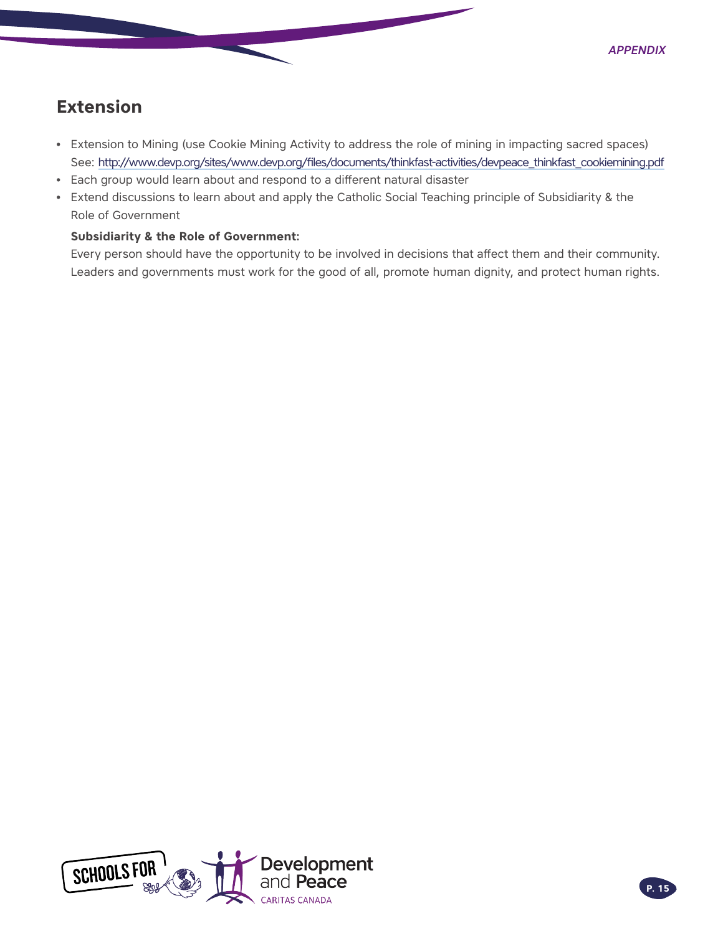# <span id="page-14-0"></span>**Extension**

- Extension to Mining (use Cookie Mining Activity to address the role of mining in impacting sacred spaces) See: http://www.devp.org/sites/www.devp.org/files/documents/thinkfast-activities/devpeace\_thinkfast\_cookiemining.pdf
- Each group would learn about and respond to a different natural disaster
- Extend discussions to learn about and apply the Catholic Social Teaching principle of Subsidiarity & the Role of Government

# **Subsidiarity & the Role of Government:**

Every person should have the opportunity to be involved in decisions that affect them and their community. Leaders and governments must work for the good of all, promote human dignity, and protect human rights.

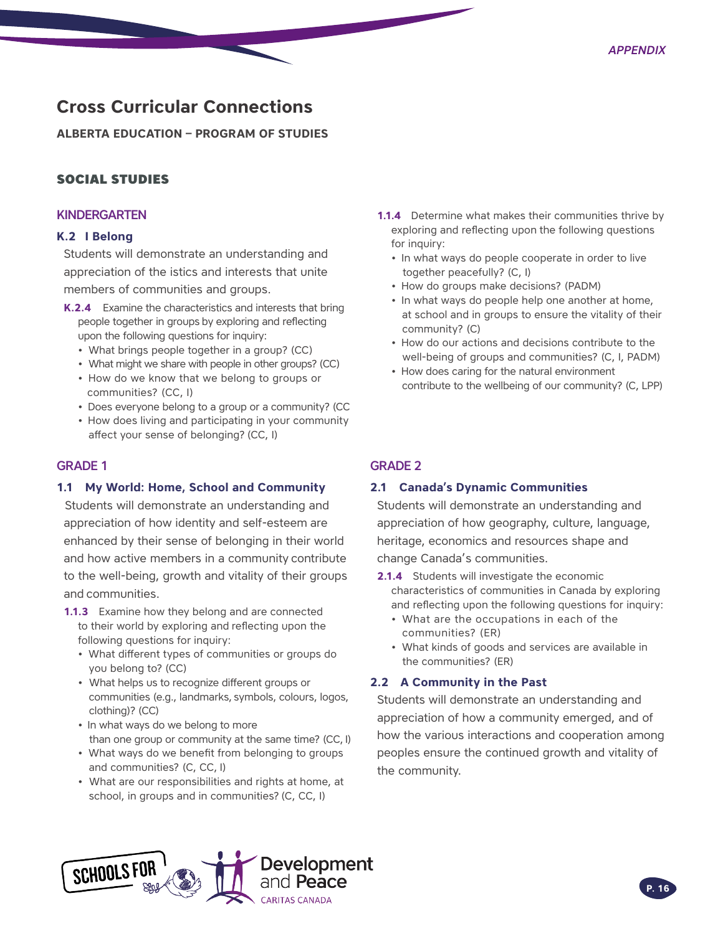# <span id="page-15-0"></span>**Cross Curricular Connections**

**ALBERTA EDUCATION – PROGRAM OF STUDIES** 

# SOCIAL STUDIES

### KINDERGARTEN

#### **K.2 I Belong**

Students will demonstrate an understanding and appreciation of the istics and interests that unite members of communities and groups.

- **K.2.4** Examine the characteristics and interests that bring people together in groups by exploring and reflecting upon the following questions for inquiry:
	- What brings people together in a group? (CC)
	- What might we share with people in other groups? (CC)
	- How do we know that we belong to groups or communities? (CC, I)
	- Does everyone belong to a group or a community? (CC
	- How does living and participating in your community affect your sense of belonging? (CC, I)

### GRADE 1

### **1.1 My World: Home, School and Community**

Students will demonstrate an understanding and appreciation of how identity and self-esteem are enhanced by their sense of belonging in their world and how active members in a community contribute to the well-being, growth and vitality of their groups and communities.

- **1.1.3** Examine how they belong and are connected to their world by exploring and reflecting upon the following questions for inquiry:
	- What different types of communities or groups do you belong to? (CC)
	- What helps us to recognize different groups or communities (e.g., landmarks, symbols, colours, logos, clothing)? (CC)
	- In what ways do we belong to more than one group or community at the same time? (CC, I)
	- What ways do we benefit from belonging to groups and communities? (C, CC, I)
	- What are our responsibilities and rights at home, at school, in groups and in communities? (C, CC, I)
- **1.1.4** Determine what makes their communities thrive by exploring and reflecting upon the following questions for inquiry:
	- In what ways do people cooperate in order to live together peacefully? (C, I)
	- How do groups make decisions? (PADM)
	- In what ways do people help one another at home, at school and in groups to ensure the vitality of their community? (C)
	- How do our actions and decisions contribute to the well-being of groups and communities? (C, I, PADM)
	- How does caring for the natural environment contribute to the wellbeing of our community? (C, LPP)

# GRADE 2

### **2.1 Canada's Dynamic Communities**

Students will demonstrate an understanding and appreciation of how geography, culture, language, heritage, economics and resources shape and change Canada's communities.

- **2.1.4** Students will investigate the economic characteristics of communities in Canada by exploring and reflecting upon the following questions for inquiry:
	- What are the occupations in each of the communities? (ER)
	- What kinds of goods and services are available in the communities? (ER)

#### **2.2 A Community in the Past**

Students will demonstrate an understanding and appreciation of how a community emerged, and of how the various interactions and cooperation among peoples ensure the continued growth and vitality of the community.

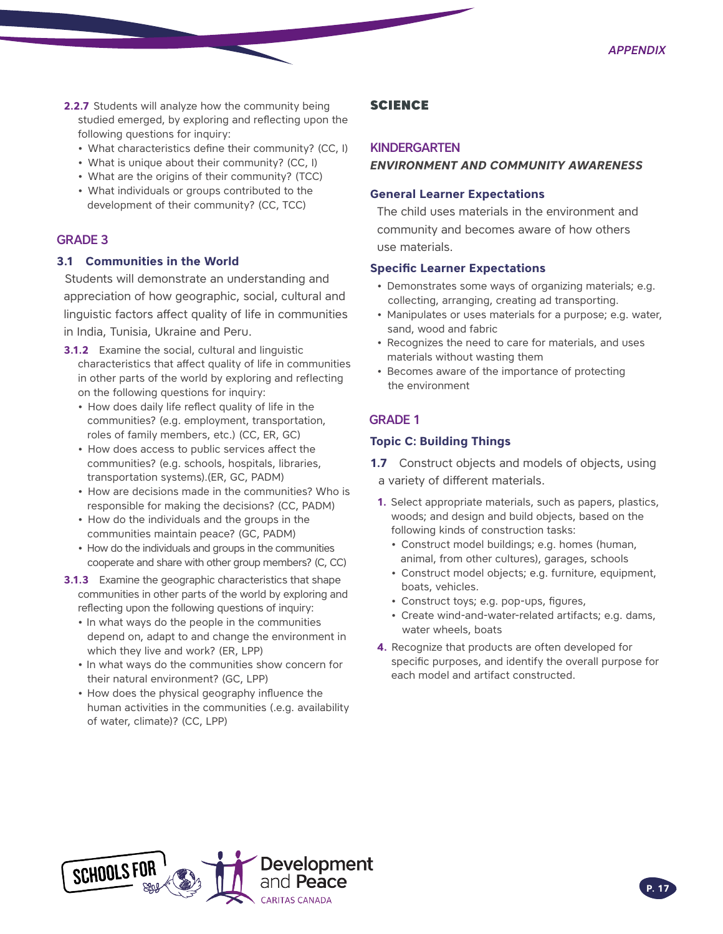- **2.2.7** Students will analyze how the community being studied emerged, by exploring and reflecting upon the following questions for inquiry:
	- What characteristics define their community? (CC, I)
	- What is unique about their community? (CC, I)
	- What are the origins of their community? (TCC)
	- What individuals or groups contributed to the development of their community? (CC, TCC)

### GRADE 3

### **3.1 Communities in the World**

Students will demonstrate an understanding and appreciation of how geographic, social, cultural and linguistic factors affect quality of life in communities in India, Tunisia, Ukraine and Peru.

- **3.1.2** Examine the social, cultural and linguistic characteristics that affect quality of life in communities in other parts of the world by exploring and reflecting on the following questions for inquiry:
	- How does daily life reflect quality of life in the communities? (e.g. employment, transportation, roles of family members, etc.) (CC, ER, GC)
	- How does access to public services affect the communities? (e.g. schools, hospitals, libraries, transportation systems).(ER, GC, PADM)
	- How are decisions made in the communities? Who is responsible for making the decisions? (CC, PADM)
	- How do the individuals and the groups in the communities maintain peace? (GC, PADM)
	- How do the individuals and groups in the communities cooperate and share with other group members? (C, CC)
- **3.1.3** Examine the geographic characteristics that shape communities in other parts of the world by exploring and reflecting upon the following questions of inquiry:
	- In what ways do the people in the communities depend on, adapt to and change the environment in which they live and work? (ER, LPP)
	- In what ways do the communities show concern for their natural environment? (GC, LPP)
	- How does the physical geography influence the human activities in the communities (.e.g. availability of water, climate)? (CC, LPP)

# SCIENCE

#### **KINDERGARTEN**

### *ENVIRONMENT AND COMMUNITY AWARENESS*

### **General Learner Expectations**

The child uses materials in the environment and community and becomes aware of how others use materials.

#### **Specific Learner Expectations**

- Demonstrates some ways of organizing materials; e.g. collecting, arranging, creating ad transporting.
- Manipulates or uses materials for a purpose; e.g. water, sand, wood and fabric
- Recognizes the need to care for materials, and uses materials without wasting them
- Becomes aware of the importance of protecting the environment

## GRADE 1

### **Topic C: Building Things**

- **1.7** Construct objects and models of objects, using a variety of different materials.
- **1.** Select appropriate materials, such as papers, plastics, woods; and design and build objects, based on the following kinds of construction tasks:
	- Construct model buildings; e.g. homes (human, animal, from other cultures), garages, schools
	- Construct model objects; e.g. furniture, equipment, boats, vehicles.
	- Construct toys; e.g. pop-ups, figures,
	- Create wind-and-water-related artifacts; e.g. dams, water wheels, boats
- **4.** Recognize that products are often developed for specific purposes, and identify the overall purpose for each model and artifact constructed.